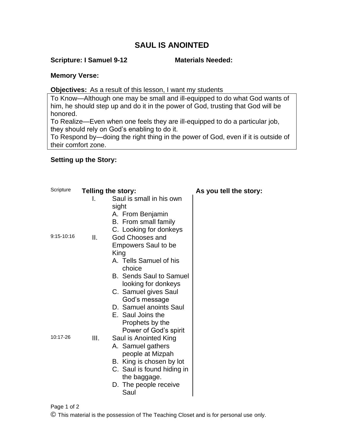# **SAUL IS ANOINTED**

#### **Scripture: I Samuel 9-12 Materials Needed:**

#### **Memory Verse:**

#### **Objectives:** As a result of this lesson, I want my students

To Know—Although one may be small and ill-equipped to do what God wants of him, he should step up and do it in the power of God, trusting that God will be honored.

To Realize—Even when one feels they are ill-equipped to do a particular job, they should rely on God's enabling to do it.

To Respond by—doing the right thing in the power of God, even if it is outside of their comfort zone.

### **Setting up the Story:**

| Scripture  |      | <b>Telling the story:</b>                                                                                                                                                                                                                                                                                                             | As you tell the story: |
|------------|------|---------------------------------------------------------------------------------------------------------------------------------------------------------------------------------------------------------------------------------------------------------------------------------------------------------------------------------------|------------------------|
| 9:15-10:16 | Ш.   | Saul is small in his own<br>sight<br>A. From Benjamin<br>B. From small family<br>C. Looking for donkeys<br><b>God Chooses and</b>                                                                                                                                                                                                     |                        |
| 10:17-26   | III. | <b>Empowers Saul to be</b><br>King<br>A. Tells Samuel of his<br>choice<br><b>B.</b> Sends Saul to Samuel<br>looking for donkeys<br>C. Samuel gives Saul<br>God's message<br>D. Samuel anoints Saul<br>E. Saul Joins the<br>Prophets by the<br>Power of God's spirit<br>Saul is Anointed King<br>A. Samuel gathers<br>people at Mizpah |                        |
|            |      | B. King is chosen by lot<br>C. Saul is found hiding in<br>the baggage.<br>D. The people receive<br>Saul                                                                                                                                                                                                                               |                        |

Page 1 of 2